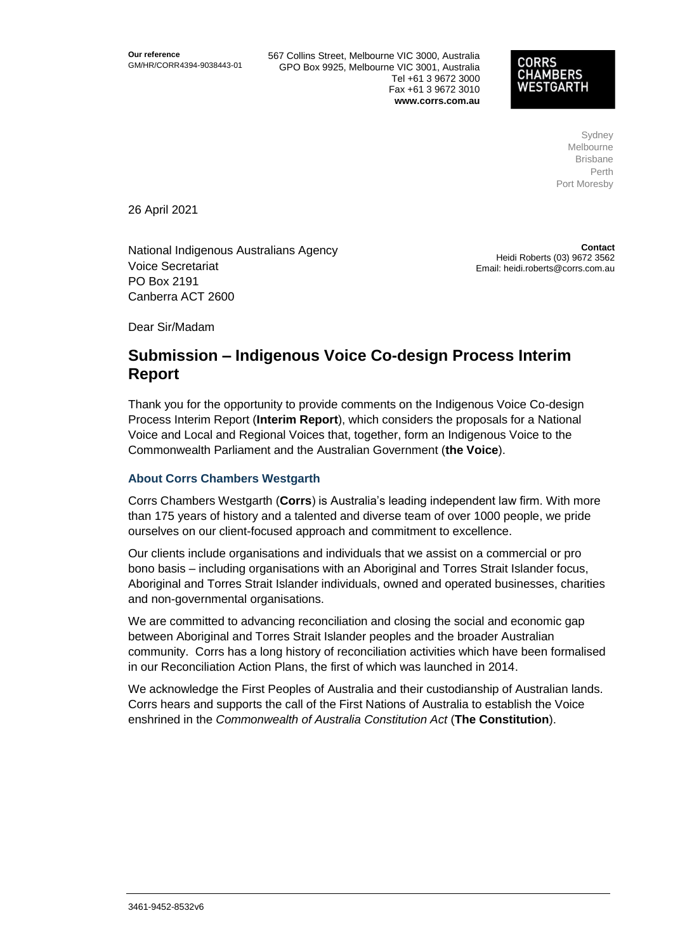567 Collins Street, Melbourne VIC 3000, Australia GPO Box 9925, Melbourne VIC 3001, Australia Tel +61 3 9672 3000 Fax +61 3 9672 3010 **www.corrs.com.au**

### **CORRS CHAMBERS ESTGARTH**

Sydney Melbourne Brisbane Perth Port Moresby

26 April 2021

National Indigenous Australians Agency Voice Secretariat PO Box 2191 Canberra ACT 2600

**Contact** Heidi Roberts (03) 9672 3562 Email: heidi.roberts@corrs.com.au

Dear Sir/Madam

# **Submission – Indigenous Voice Co-design Process Interim Report**

Thank you for the opportunity to provide comments on the Indigenous Voice Co-design Process Interim Report (**Interim Report**), which considers the proposals for a National Voice and Local and Regional Voices that, together, form an Indigenous Voice to the Commonwealth Parliament and the Australian Government (**the Voice**).

## **About Corrs Chambers Westgarth**

Corrs Chambers Westgarth (**Corrs**) is Australia's leading independent law firm. With more than 175 years of history and a talented and diverse team of over 1000 people, we pride ourselves on our client-focused approach and commitment to excellence.

Our clients include organisations and individuals that we assist on a commercial or pro bono basis – including organisations with an Aboriginal and Torres Strait Islander focus, Aboriginal and Torres Strait Islander individuals, owned and operated businesses, charities and non-governmental organisations.

We are committed to advancing reconciliation and closing the social and economic gap between Aboriginal and Torres Strait Islander peoples and the broader Australian community. Corrs has a long history of reconciliation activities which have been formalised in our Reconciliation Action Plans, the first of which was launched in 2014.

We acknowledge the First Peoples of Australia and their custodianship of Australian lands. Corrs hears and supports the call of the First Nations of Australia to establish the Voice enshrined in the *Commonwealth of Australia Constitution Act* (**The Constitution**).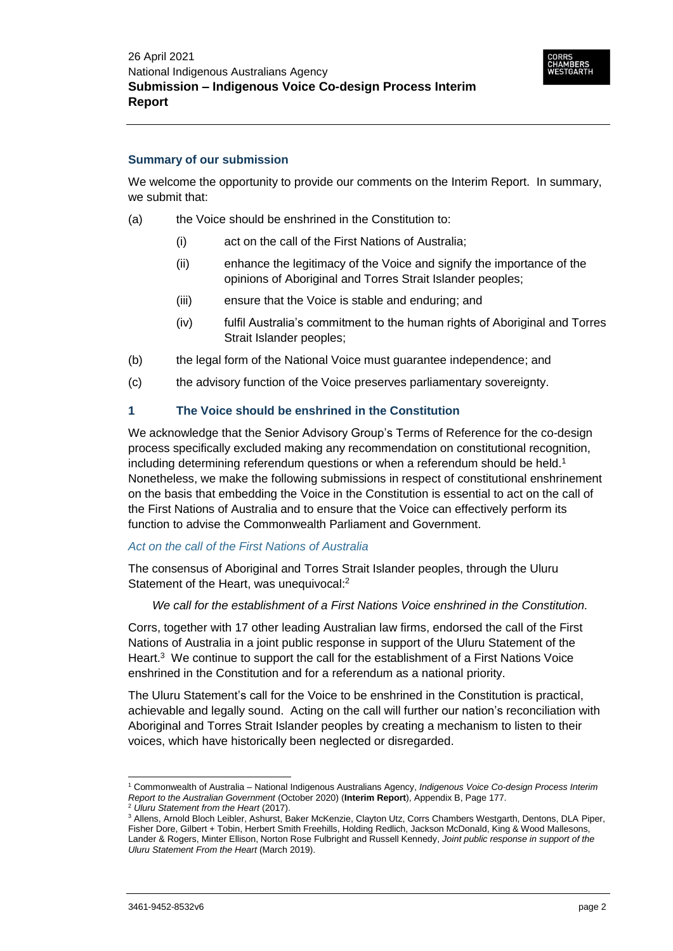#### **Summary of our submission**

We welcome the opportunity to provide our comments on the Interim Report. In summary, we submit that:

- (a) the Voice should be enshrined in the Constitution to:
	- (i) act on the call of the First Nations of Australia;
	- (ii) enhance the legitimacy of the Voice and signify the importance of the opinions of Aboriginal and Torres Strait Islander peoples;
	- (iii) ensure that the Voice is stable and enduring; and
	- (iv) fulfil Australia's commitment to the human rights of Aboriginal and Torres Strait Islander peoples;
- (b) the legal form of the National Voice must guarantee independence; and
- (c) the advisory function of the Voice preserves parliamentary sovereignty.

#### **1 The Voice should be enshrined in the Constitution**

We acknowledge that the Senior Advisory Group's Terms of Reference for the co-design process specifically excluded making any recommendation on constitutional recognition, including determining referendum questions or when a referendum should be held.<sup>1</sup> Nonetheless, we make the following submissions in respect of constitutional enshrinement on the basis that embedding the Voice in the Constitution is essential to act on the call of the First Nations of Australia and to ensure that the Voice can effectively perform its function to advise the Commonwealth Parliament and Government.

#### *Act on the call of the First Nations of Australia*

The consensus of Aboriginal and Torres Strait Islander peoples, through the Uluru Statement of the Heart, was unequivocal:<sup>2</sup>

*We call for the establishment of a First Nations Voice enshrined in the Constitution.*

Corrs, together with 17 other leading Australian law firms, endorsed the call of the First Nations of Australia in a joint public response in support of the Uluru Statement of the Heart.<sup>3</sup> We continue to support the call for the establishment of a First Nations Voice enshrined in the Constitution and for a referendum as a national priority.

The Uluru Statement's call for the Voice to be enshrined in the Constitution is practical, achievable and legally sound. Acting on the call will further our nation's reconciliation with Aboriginal and Torres Strait Islander peoples by creating a mechanism to listen to their voices, which have historically been neglected or disregarded.

 $\overline{a}$ 

<sup>1</sup> Commonwealth of Australia – National Indigenous Australians Agency, *Indigenous Voice Co-design Process Interim Report to the Australian Government* (October 2020) (**Interim Report**), Appendix B, Page 177.

<sup>2</sup> *Uluru Statement from the Heart* (2017).

<sup>3</sup> Allens, Arnold Bloch Leibler, Ashurst, Baker McKenzie, Clayton Utz, Corrs Chambers Westgarth, Dentons, DLA Piper, Fisher Dore, Gilbert + Tobin, Herbert Smith Freehills, Holding Redlich, Jackson McDonald, King & Wood Mallesons, Lander & Rogers, Minter Ellison, Norton Rose Fulbright and Russell Kennedy, *Joint public response in support of the Uluru Statement From the Heart* (March 2019).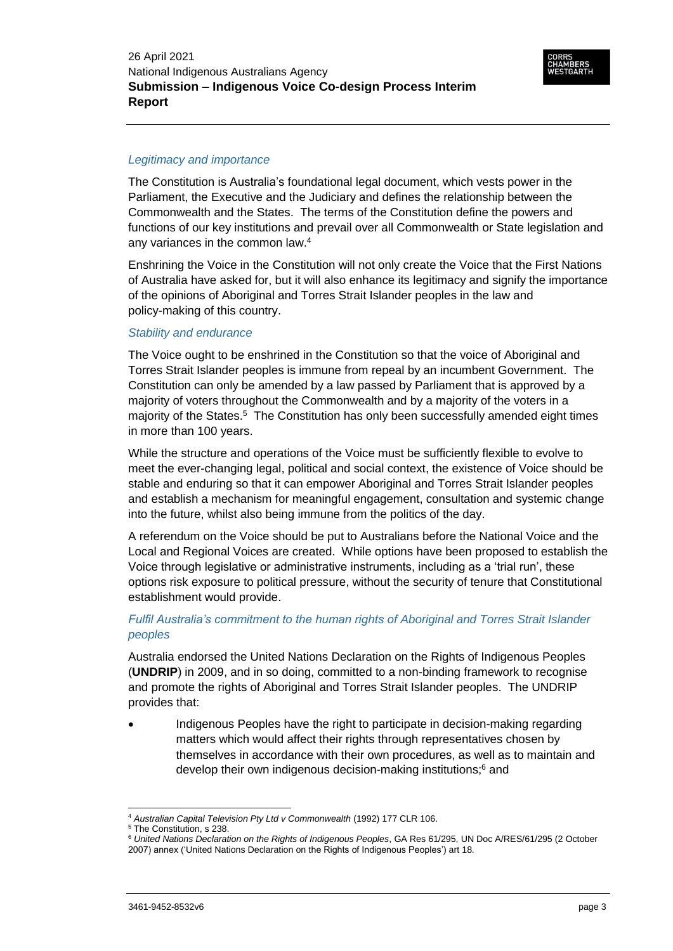#### *Legitimacy and importance*

The Constitution is Australia's foundational legal document, which vests power in the Parliament, the Executive and the Judiciary and defines the relationship between the Commonwealth and the States. The terms of the Constitution define the powers and functions of our key institutions and prevail over all Commonwealth or State legislation and any variances in the common law.<sup>4</sup>

Enshrining the Voice in the Constitution will not only create the Voice that the First Nations of Australia have asked for, but it will also enhance its legitimacy and signify the importance of the opinions of Aboriginal and Torres Strait Islander peoples in the law and policy-making of this country.

## *Stability and endurance*

The Voice ought to be enshrined in the Constitution so that the voice of Aboriginal and Torres Strait Islander peoples is immune from repeal by an incumbent Government. The Constitution can only be amended by a law passed by Parliament that is approved by a majority of voters throughout the Commonwealth and by a majority of the voters in a majority of the States.<sup>5</sup> The Constitution has only been successfully amended eight times in more than 100 years.

While the structure and operations of the Voice must be sufficiently flexible to evolve to meet the ever-changing legal, political and social context, the existence of Voice should be stable and enduring so that it can empower Aboriginal and Torres Strait Islander peoples and establish a mechanism for meaningful engagement, consultation and systemic change into the future, whilst also being immune from the politics of the day.

A referendum on the Voice should be put to Australians before the National Voice and the Local and Regional Voices are created. While options have been proposed to establish the Voice through legislative or administrative instruments, including as a 'trial run', these options risk exposure to political pressure, without the security of tenure that Constitutional establishment would provide.

## *Fulfil Australia's commitment to the human rights of Aboriginal and Torres Strait Islander peoples*

Australia endorsed the United Nations Declaration on the Rights of Indigenous Peoples (**UNDRIP**) in 2009, and in so doing, committed to a non-binding framework to recognise and promote the rights of Aboriginal and Torres Strait Islander peoples. The UNDRIP provides that:

 Indigenous Peoples have the right to participate in decision-making regarding matters which would affect their rights through representatives chosen by themselves in accordance with their own procedures, as well as to maintain and develop their own indigenous decision-making institutions;<sup>6</sup> and

 $\overline{a}$ <sup>4</sup> *Australian Capital Television Pty Ltd v Commonwealth* (1992) 177 CLR 106.

<sup>5</sup> The Constitution, s 238.

<sup>6</sup> *United Nations Declaration on the Rights of Indigenous Peoples*, GA Res 61/295, UN Doc A/RES/61/295 (2 October 2007) annex ('United Nations Declaration on the Rights of Indigenous Peoples') art 18.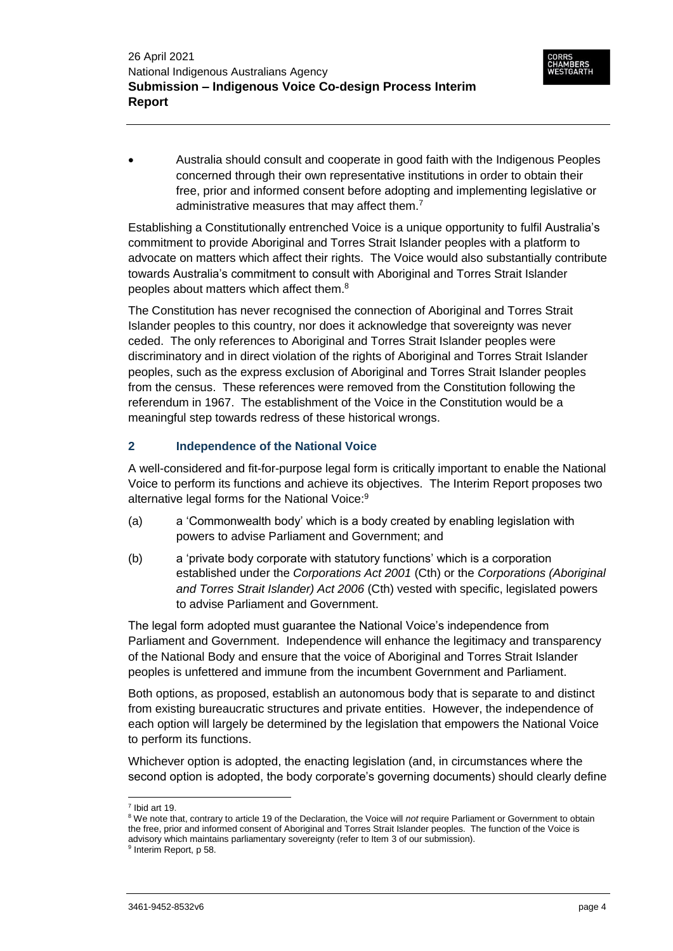Australia should consult and cooperate in good faith with the Indigenous Peoples concerned through their own representative institutions in order to obtain their free, prior and informed consent before adopting and implementing legislative or administrative measures that may affect them.<sup>7</sup>

Establishing a Constitutionally entrenched Voice is a unique opportunity to fulfil Australia's commitment to provide Aboriginal and Torres Strait Islander peoples with a platform to advocate on matters which affect their rights. The Voice would also substantially contribute towards Australia's commitment to consult with Aboriginal and Torres Strait Islander peoples about matters which affect them.<sup>8</sup>

The Constitution has never recognised the connection of Aboriginal and Torres Strait Islander peoples to this country, nor does it acknowledge that sovereignty was never ceded. The only references to Aboriginal and Torres Strait Islander peoples were discriminatory and in direct violation of the rights of Aboriginal and Torres Strait Islander peoples, such as the express exclusion of Aboriginal and Torres Strait Islander peoples from the census. These references were removed from the Constitution following the referendum in 1967. The establishment of the Voice in the Constitution would be a meaningful step towards redress of these historical wrongs.

# **2 Independence of the National Voice**

A well-considered and fit-for-purpose legal form is critically important to enable the National Voice to perform its functions and achieve its objectives. The Interim Report proposes two alternative legal forms for the National Voice:<sup>9</sup>

- (a) a 'Commonwealth body' which is a body created by enabling legislation with powers to advise Parliament and Government; and
- (b) a 'private body corporate with statutory functions' which is a corporation established under the *Corporations Act 2001* (Cth) or the *Corporations (Aboriginal and Torres Strait Islander) Act 2006* (Cth) vested with specific, legislated powers to advise Parliament and Government.

The legal form adopted must guarantee the National Voice's independence from Parliament and Government. Independence will enhance the legitimacy and transparency of the National Body and ensure that the voice of Aboriginal and Torres Strait Islander peoples is unfettered and immune from the incumbent Government and Parliament.

Both options, as proposed, establish an autonomous body that is separate to and distinct from existing bureaucratic structures and private entities. However, the independence of each option will largely be determined by the legislation that empowers the National Voice to perform its functions.

Whichever option is adopted, the enacting legislation (and, in circumstances where the second option is adopted, the body corporate's governing documents) should clearly define

 $\overline{a}$ 7 Ibid art 19.

<sup>&</sup>lt;sup>8</sup> We note that, contrary to article 19 of the Declaration, the Voice will *not* require Parliament or Government to obtain the free, prior and informed consent of Aboriginal and Torres Strait Islander peoples. The function of the Voice is advisory which maintains parliamentary sovereignty (refer to Item [3](#page-4-0) of our submission).

<sup>&</sup>lt;sup>9</sup> Interim Report, p 58.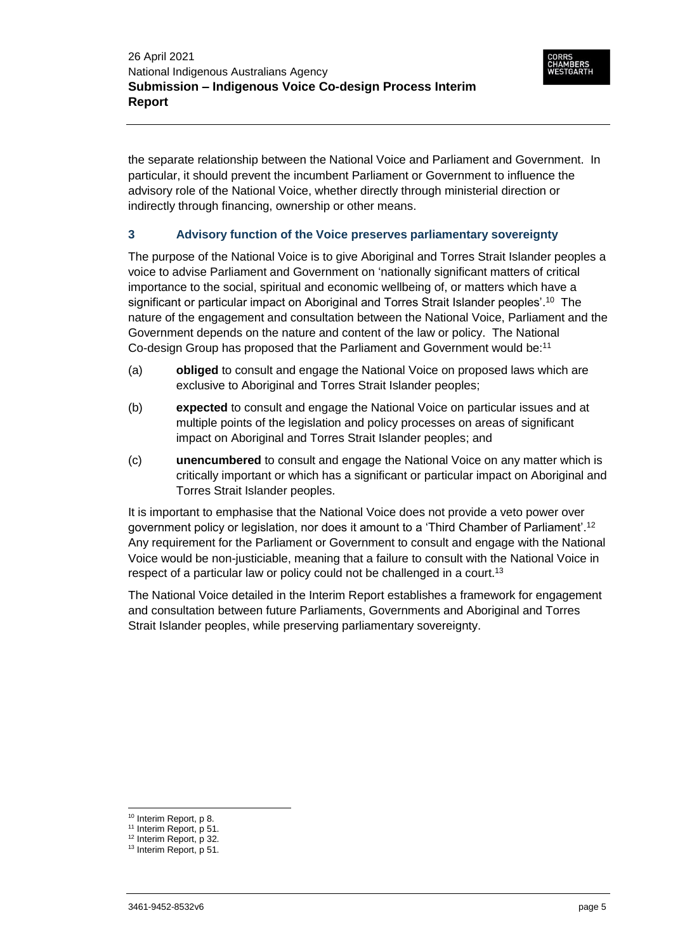the separate relationship between the National Voice and Parliament and Government. In particular, it should prevent the incumbent Parliament or Government to influence the advisory role of the National Voice, whether directly through ministerial direction or indirectly through financing, ownership or other means.

## <span id="page-4-0"></span>**3 Advisory function of the Voice preserves parliamentary sovereignty**

The purpose of the National Voice is to give Aboriginal and Torres Strait Islander peoples a voice to advise Parliament and Government on 'nationally significant matters of critical importance to the social, spiritual and economic wellbeing of, or matters which have a significant or particular impact on Aboriginal and Torres Strait Islander peoples'. <sup>10</sup> The nature of the engagement and consultation between the National Voice, Parliament and the Government depends on the nature and content of the law or policy. The National Co-design Group has proposed that the Parliament and Government would be:<sup>11</sup>

- (a) **obliged** to consult and engage the National Voice on proposed laws which are exclusive to Aboriginal and Torres Strait Islander peoples;
- (b) **expected** to consult and engage the National Voice on particular issues and at multiple points of the legislation and policy processes on areas of significant impact on Aboriginal and Torres Strait Islander peoples; and
- (c) **unencumbered** to consult and engage the National Voice on any matter which is critically important or which has a significant or particular impact on Aboriginal and Torres Strait Islander peoples.

It is important to emphasise that the National Voice does not provide a veto power over government policy or legislation, nor does it amount to a 'Third Chamber of Parliament'.<sup>12</sup> Any requirement for the Parliament or Government to consult and engage with the National Voice would be non-justiciable, meaning that a failure to consult with the National Voice in respect of a particular law or policy could not be challenged in a court.<sup>13</sup>

The National Voice detailed in the Interim Report establishes a framework for engagement and consultation between future Parliaments, Governments and Aboriginal and Torres Strait Islander peoples, while preserving parliamentary sovereignty.

 $\overline{a}$ 

<sup>10</sup> Interim Report, p 8.

<sup>&</sup>lt;sup>11</sup> Interim Report, p 51.

<sup>&</sup>lt;sup>12</sup> Interim Report, p 32.

<sup>&</sup>lt;sup>13</sup> Interim Report, p 51.